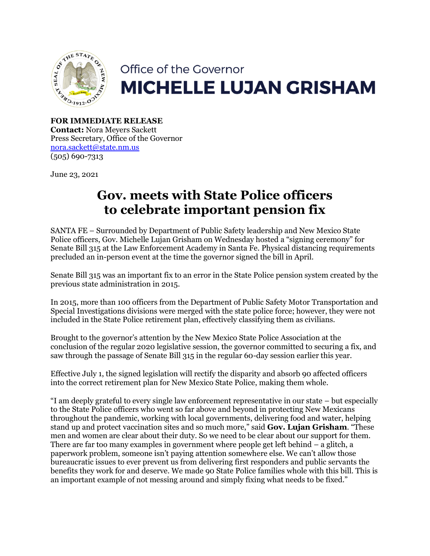

## Office of the Governor **MICHELLE LUJAN GRISHAM**

**FOR IMMEDIATE RELEASE Contact:** Nora Meyers Sackett Press Secretary, Office of the Governor [nora.sackett@state.nm.us](mailto:nora.sackett@state.nm.us) (505) 690-7313

June 23, 2021

## **Gov. meets with State Police officers to celebrate important pension fix**

SANTA FE – Surrounded by Department of Public Safety leadership and New Mexico State Police officers, Gov. Michelle Lujan Grisham on Wednesday hosted a "signing ceremony" for Senate Bill 315 at the Law Enforcement Academy in Santa Fe. Physical distancing requirements precluded an in-person event at the time the governor signed the bill in April.

Senate Bill 315 was an important fix to an error in the State Police pension system created by the previous state administration in 2015.

In 2015, more than 100 officers from the Department of Public Safety Motor Transportation and Special Investigations divisions were merged with the state police force; however, they were not included in the State Police retirement plan, effectively classifying them as civilians.

Brought to the governor's attention by the New Mexico State Police Association at the conclusion of the regular 2020 legislative session, the governor committed to securing a fix, and saw through the passage of Senate Bill 315 in the regular 60-day session earlier this year.

Effective July 1, the signed legislation will rectify the disparity and absorb 90 affected officers into the correct retirement plan for New Mexico State Police, making them whole.

"I am deeply grateful to every single law enforcement representative in our state – but especially to the State Police officers who went so far above and beyond in protecting New Mexicans throughout the pandemic, working with local governments, delivering food and water, helping stand up and protect vaccination sites and so much more," said **Gov. Lujan Grisham**. "These men and women are clear about their duty. So we need to be clear about our support for them. There are far too many examples in government where people get left behind  $-\overline{a}$  glitch, a paperwork problem, someone isn't paying attention somewhere else. We can't allow those bureaucratic issues to ever prevent us from delivering first responders and public servants the benefits they work for and deserve. We made 90 State Police families whole with this bill. This is an important example of not messing around and simply fixing what needs to be fixed."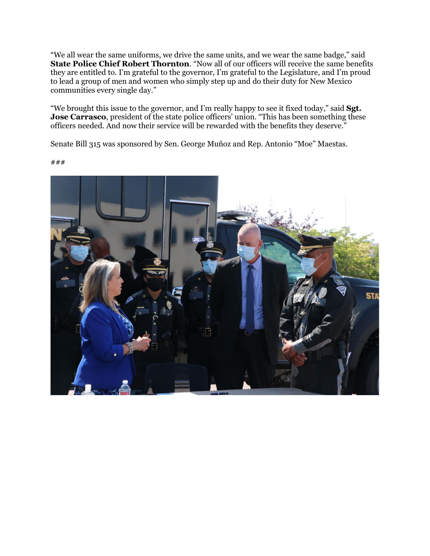"We all wear the same uniforms, we drive the same units, and we wear the same badge," said **State Police Chief Robert Thornton.** "Now all of our officers will receive the same benefits they are entitled to. I'm grateful to the governor, I'm grateful to the Legislature, and I'm proud to lead a group of men and women who simply step up and do their duty for New Mexico communities every single day."

"We brought this issue to the governor, and I'm really happy to see it fixed today," said **Sgt. Jose Carrasco**, president of the state police officers' union. "This has been something these officers needed. And now their service will be rewarded with the benefits they deserve."

Senate Bill 315 was sponsored by Sen. George Muñoz and Rep. Antonio "Moe" Maestas.



###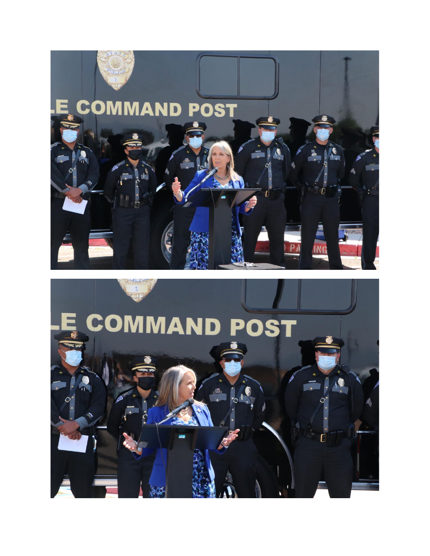